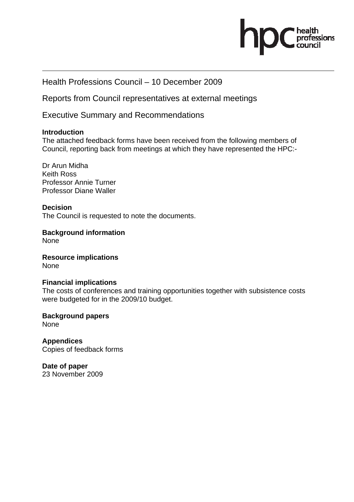

# Health Professions Council – 10 December 2009

Reports from Council representatives at external meetings

Executive Summary and Recommendations

#### **Introduction**

The attached feedback forms have been received from the following members of Council, reporting back from meetings at which they have represented the HPC:-

Dr Arun Midha Keith Ross Professor Annie Turner Professor Diane Waller

#### **Decision**

The Council is requested to note the documents.

**Background information**  None

**Resource implications**  None

#### **Financial implications**

The costs of conferences and training opportunities together with subsistence costs were budgeted for in the 2009/10 budget.

**Background papers**  None

**Appendices**  Copies of feedback forms

**Date of paper**  23 November 2009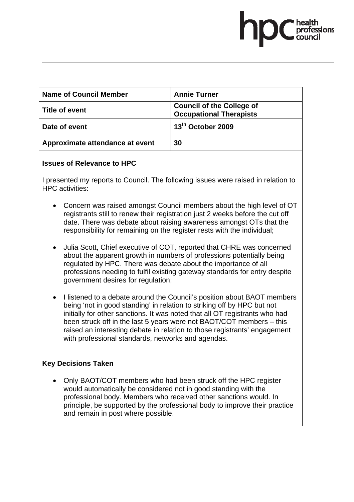| <b>Name of Council Member</b>   | <b>Annie Turner</b>                                                |
|---------------------------------|--------------------------------------------------------------------|
| <b>Title of event</b>           | <b>Council of the College of</b><br><b>Occupational Therapists</b> |
| Date of event                   | 13 <sup>th</sup> October 2009                                      |
| Approximate attendance at event | 30                                                                 |

#### **Issues of Relevance to HPC**

I presented my reports to Council. The following issues were raised in relation to HPC activities:

- Concern was raised amongst Council members about the high level of OT registrants still to renew their registration just 2 weeks before the cut off date. There was debate about raising awareness amongst OTs that the responsibility for remaining on the register rests with the individual;
- Julia Scott, Chief executive of COT, reported that CHRE was concerned about the apparent growth in numbers of professions potentially being regulated by HPC. There was debate about the importance of all professions needing to fulfil existing gateway standards for entry despite government desires for regulation;
- I listened to a debate around the Council's position about BAOT members being 'not in good standing' in relation to striking off by HPC but not initially for other sanctions. It was noted that all OT registrants who had been struck off in the last 5 years were not BAOT/COT members – this raised an interesting debate in relation to those registrants' engagement with professional standards, networks and agendas.

# **Key Decisions Taken**

• Only BAOT/COT members who had been struck off the HPC register would automatically be considered not in good standing with the professional body. Members who received other sanctions would. In principle, be supported by the professional body to improve their practice and remain in post where possible.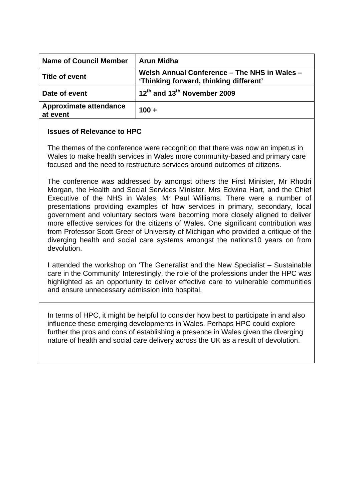| <b>Name of Council Member</b>             | <b>Arun Midha</b>                                                                      |
|-------------------------------------------|----------------------------------------------------------------------------------------|
| ∣ Title of event                          | Welsh Annual Conference - The NHS in Wales -<br>'Thinking forward, thinking different' |
| Date of event                             | 12 <sup>th</sup> and 13 <sup>th</sup> November 2009                                    |
| <b>Approximate attendance</b><br>at event | $100 +$                                                                                |

#### **Issues of Relevance to HPC**

The themes of the conference were recognition that there was now an impetus in Wales to make health services in Wales more community-based and primary care focused and the need to restructure services around outcomes of citizens.

The conference was addressed by amongst others the First Minister, Mr Rhodri Morgan, the Health and Social Services Minister, Mrs Edwina Hart, and the Chief Executive of the NHS in Wales, Mr Paul Williams. There were a number of presentations providing examples of how services in primary, secondary, local government and voluntary sectors were becoming more closely aligned to deliver more effective services for the citizens of Wales. One significant contribution was from Professor Scott Greer of University of Michigan who provided a critique of the diverging health and social care systems amongst the nations10 years on from devolution.

I attended the workshop on 'The Generalist and the New Specialist – Sustainable care in the Community' Interestingly, the role of the professions under the HPC was highlighted as an opportunity to deliver effective care to vulnerable communities and ensure unnecessary admission into hospital.

In terms of HPC, it might be helpful to consider how best to participate in and also influence these emerging developments in Wales. Perhaps HPC could explore further the pros and cons of establishing a presence in Wales given the diverging nature of health and social care delivery across the UK as a result of devolution.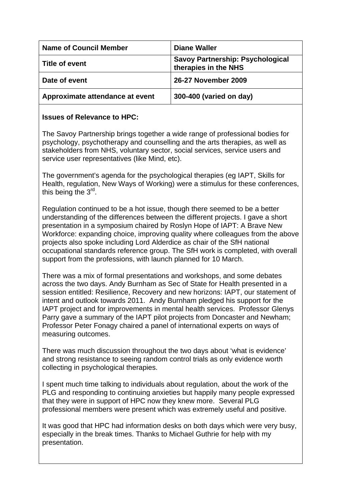| <b>Name of Council Member</b>   | <b>Diane Waller</b>                                             |
|---------------------------------|-----------------------------------------------------------------|
| Title of event                  | <b>Savoy Partnership: Psychological</b><br>therapies in the NHS |
| Date of event                   | 26-27 November 2009                                             |
| Approximate attendance at event | 300-400 (varied on day)                                         |

# **Issues of Relevance to HPC:**

The Savoy Partnership brings together a wide range of professional bodies for psychology, psychotherapy and counselling and the arts therapies, as well as stakeholders from NHS, voluntary sector, social services, service users and service user representatives (like Mind, etc).

The government's agenda for the psychological therapies (eg IAPT, Skills for Health, regulation, New Ways of Working) were a stimulus for these conferences, this being the 3<sup>rd</sup>.

Regulation continued to be a hot issue, though there seemed to be a better understanding of the differences between the different projects. I gave a short presentation in a symposium chaired by Roslyn Hope of IAPT: A Brave New Workforce: expanding choice, improving quality where colleagues from the above projects also spoke including Lord Alderdice as chair of the SfH national occupational standards reference group. The SfH work is completed, with overall support from the professions, with launch planned for 10 March.

There was a mix of formal presentations and workshops, and some debates across the two days. Andy Burnham as Sec of State for Health presented in a session entitled: Resilience, Recovery and new horizons: IAPT, our statement of intent and outlook towards 2011. Andy Burnham pledged his support for the IAPT project and for improvements in mental health services. Professor Glenys Parry gave a summary of the IAPT pilot projects from Doncaster and Newham; Professor Peter Fonagy chaired a panel of international experts on ways of measuring outcomes.

There was much discussion throughout the two days about 'what is evidence' and strong resistance to seeing random control trials as only evidence worth collecting in psychological therapies.

I spent much time talking to individuals about regulation, about the work of the PLG and responding to continuing anxieties but happily many people expressed that they were in support of HPC now they knew more. Several PLG professional members were present which was extremely useful and positive.

It was good that HPC had information desks on both days which were very busy, especially in the break times. Thanks to Michael Guthrie for help with my presentation.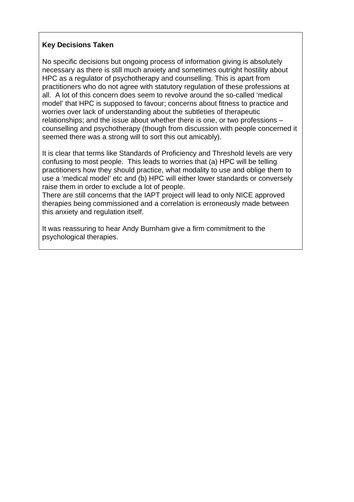## **Key Decisions Taken**

No specific decisions but ongoing process of information giving is absolutely necessary as there is still much anxiety and sometimes outright hostility about HPC as a regulator of psychotherapy and counselling. This is apart from practitioners who do not agree with statutory regulation of these professions at all. A lot of this concern does seem to revolve around the so-called 'medical model' that HPC is supposed to favour; concerns about fitness to practice and worries over lack of understanding about the subtleties of therapeutic relationships; and the issue about whether there is one, or two professions – counselling and psychotherapy (though from discussion with people concerned it seemed there was a strong will to sort this out amicably).

It is clear that terms like Standards of Proficiency and Threshold levels are very confusing to most people. This leads to worries that (a) HPC will be telling practitioners how they should practice, what modality to use and oblige them to use a 'medical model' etc and (b) HPC will either lower standards or conversely raise them in order to exclude a lot of people.

There are still concerns that the IAPT project will lead to only NICE approved therapies being commissioned and a correlation is erroneously made between this anxiety and regulation itself.

It was reassuring to hear Andy Burnham give a firm commitment to the psychological therapies.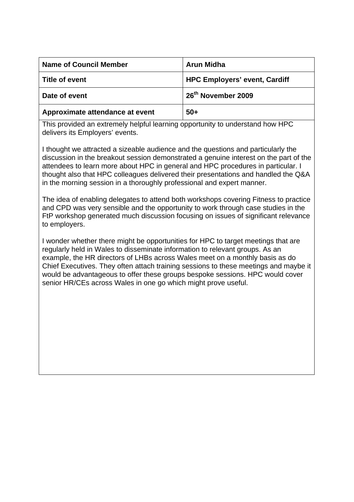| <b>Name of Council Member</b>   | <b>Arun Midha</b>                    |
|---------------------------------|--------------------------------------|
| Title of event                  | <b>HPC Employers' event, Cardiff</b> |
| Date of event                   | 26 <sup>th</sup> November 2009       |
| Approximate attendance at event | $50+$                                |

This provided an extremely helpful learning opportunity to understand how HPC delivers its Employers' events.

I thought we attracted a sizeable audience and the questions and particularly the discussion in the breakout session demonstrated a genuine interest on the part of the attendees to learn more about HPC in general and HPC procedures in particular. I thought also that HPC colleagues delivered their presentations and handled the Q&A in the morning session in a thoroughly professional and expert manner.

The idea of enabling delegates to attend both workshops covering Fitness to practice and CPD was very sensible and the opportunity to work through case studies in the FtP workshop generated much discussion focusing on issues of significant relevance to employers.

I wonder whether there might be opportunities for HPC to target meetings that are regularly held in Wales to disseminate information to relevant groups. As an example, the HR directors of LHBs across Wales meet on a monthly basis as do Chief Executives. They often attach training sessions to these meetings and maybe it would be advantageous to offer these groups bespoke sessions. HPC would cover senior HR/CEs across Wales in one go which might prove useful.